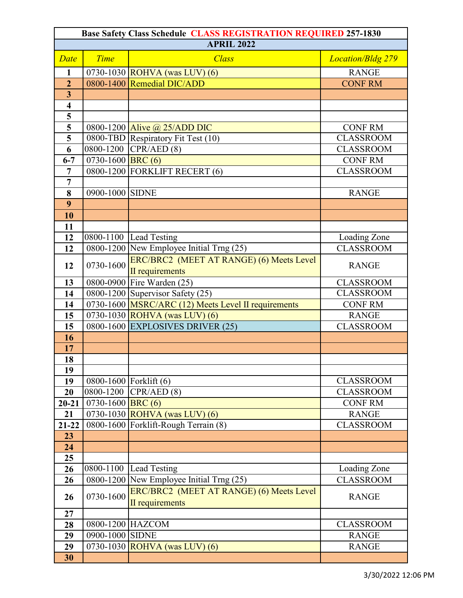| <b>Base Safety Class Schedule CLASS REGISTRATION REQUIRED 257-1830</b> |                          |                                                     |                          |  |  |
|------------------------------------------------------------------------|--------------------------|-----------------------------------------------------|--------------------------|--|--|
| <b>APRIL 2022</b>                                                      |                          |                                                     |                          |  |  |
| Date                                                                   | <b>Time</b>              | <b>Class</b>                                        | <b>Location/Bldg 279</b> |  |  |
| $\mathbf{1}$                                                           |                          | 0730-1030 ROHVA (was LUV) (6)                       | <b>RANGE</b>             |  |  |
| $\overline{2}$                                                         |                          | 0800-1400 Remedial DIC/ADD                          | <b>CONF RM</b>           |  |  |
| $\overline{\mathbf{3}}$                                                |                          |                                                     |                          |  |  |
| $\overline{\mathbf{4}}$                                                |                          |                                                     |                          |  |  |
| 5                                                                      |                          |                                                     |                          |  |  |
| $\overline{\mathbf{5}}$                                                |                          | 0800-1200 Alive @ $25/ADD$ DIC                      | <b>CONF RM</b>           |  |  |
| 5                                                                      |                          | 0800-TBD Respiratory Fit Test (10)                  | <b>CLASSROOM</b>         |  |  |
| 6                                                                      | $\overline{0800}$ -1200  | CPR/ AED(8)                                         | <b>CLASSROOM</b>         |  |  |
| $6 - 7$                                                                | 0730-1600 <b>BRC</b> (6) |                                                     | <b>CONF RM</b>           |  |  |
| $\overline{7}$                                                         |                          | 0800-1200 FORKLIFT RECERT (6)                       | <b>CLASSROOM</b>         |  |  |
| $\overline{7}$                                                         |                          |                                                     |                          |  |  |
| 8                                                                      | 0900-1000 SIDNE          |                                                     | <b>RANGE</b>             |  |  |
| 9                                                                      |                          |                                                     |                          |  |  |
| 10                                                                     |                          |                                                     |                          |  |  |
| 11                                                                     |                          |                                                     |                          |  |  |
| 12                                                                     |                          | $0800 - 1100$ Lead Testing                          | Loading Zone             |  |  |
| 12                                                                     |                          | 0800-1200 New Employee Initial Trng (25)            | <b>CLASSROOM</b>         |  |  |
|                                                                        |                          | ERC/BRC2 (MEET AT RANGE) (6) Meets Level            | <b>RANGE</b>             |  |  |
| 12                                                                     | 0730-1600                | II requirements                                     |                          |  |  |
| 13                                                                     |                          | 0800-0900 Fire Warden (25)                          | <b>CLASSROOM</b>         |  |  |
| 14                                                                     |                          | 0800-1200 Supervisor Safety (25)                    | <b>CLASSROOM</b>         |  |  |
| 14                                                                     |                          | 0730-1600 MSRC/ARC (12) Meets Level II requirements | <b>CONF RM</b>           |  |  |
| 15                                                                     |                          | 0730-1030 ROHVA (was LUV) (6)                       | <b>RANGE</b>             |  |  |
| 15                                                                     |                          | 0800-1600 EXPLOSIVES DRIVER (25)                    | <b>CLASSROOM</b>         |  |  |
| 16                                                                     |                          |                                                     |                          |  |  |
| 17                                                                     |                          |                                                     |                          |  |  |
| 18                                                                     |                          |                                                     |                          |  |  |
| 19                                                                     |                          |                                                     |                          |  |  |
| 19                                                                     |                          | 0800-1600 Forklift (6)                              | <b>CLASSROOM</b>         |  |  |
| 20                                                                     | 0800-1200                | CPR/AED(8)                                          | <b>CLASSROOM</b>         |  |  |
| $20 - 21$                                                              | 0730-1600 <b>BRC</b> (6) |                                                     | <b>CONF RM</b>           |  |  |
| 21                                                                     |                          | 0730-1030 ROHVA (was LUV) (6)                       | <b>RANGE</b>             |  |  |
| $21 - 22$                                                              |                          | 0800-1600 Forklift-Rough Terrain (8)                | <b>CLASSROOM</b>         |  |  |
| 23                                                                     |                          |                                                     |                          |  |  |
| 24                                                                     |                          |                                                     |                          |  |  |
| 25                                                                     |                          |                                                     |                          |  |  |
| 26                                                                     |                          | 0800-1100 Lead Testing                              | Loading Zone             |  |  |
| 26                                                                     |                          | 0800-1200 New Employee Initial Trng (25)            | <b>CLASSROOM</b>         |  |  |
| 26                                                                     | 0730-1600                | ERC/BRC2 (MEET AT RANGE) (6) Meets Level            | <b>RANGE</b>             |  |  |
|                                                                        |                          | II requirements                                     |                          |  |  |
| 27                                                                     |                          |                                                     |                          |  |  |
| 28                                                                     | 0800-1200 HAZCOM         |                                                     | <b>CLASSROOM</b>         |  |  |
| 29                                                                     | 0900-1000 SIDNE          |                                                     | <b>RANGE</b>             |  |  |
| 29                                                                     |                          | 0730-1030 ROHVA (was LUV) (6)                       | <b>RANGE</b>             |  |  |
| 30                                                                     |                          |                                                     |                          |  |  |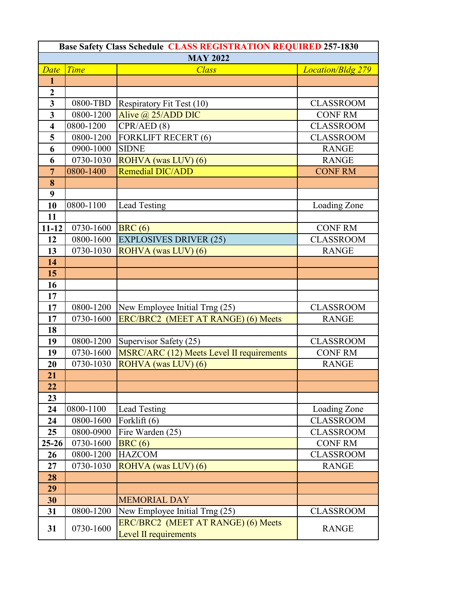| <b>Base Safety Class Schedule CLASS REGISTRATION REQUIRED 257-1830</b><br><b>MAY 2022</b> |             |                                                             |                          |  |  |
|-------------------------------------------------------------------------------------------|-------------|-------------------------------------------------------------|--------------------------|--|--|
|                                                                                           |             |                                                             |                          |  |  |
| Date                                                                                      | <b>Time</b> | <b>Class</b>                                                | <b>Location/Bldg 279</b> |  |  |
| $\mathbf{1}$                                                                              |             |                                                             |                          |  |  |
| $\overline{2}$                                                                            |             |                                                             |                          |  |  |
| $\overline{\mathbf{3}}$                                                                   | 0800-TBD    | Respiratory Fit Test (10)                                   | <b>CLASSROOM</b>         |  |  |
| $\overline{\mathbf{3}}$                                                                   | 0800-1200   | Alive @ 25/ADD DIC                                          | <b>CONF RM</b>           |  |  |
| $\overline{\mathbf{4}}$                                                                   | 0800-1200   | CPR/ AED(8)                                                 | <b>CLASSROOM</b>         |  |  |
| 5                                                                                         | 0800-1200   | <b>FORKLIFT RECERT (6)</b>                                  | <b>CLASSROOM</b>         |  |  |
| 6                                                                                         | 0900-1000   | <b>SIDNE</b>                                                | <b>RANGE</b>             |  |  |
| 6                                                                                         | 0730-1030   | ROHVA (was LUV) (6)                                         | <b>RANGE</b>             |  |  |
| $\overline{7}$                                                                            | 0800-1400   | <b>Remedial DIC/ADD</b>                                     | <b>CONF RM</b>           |  |  |
| 8                                                                                         |             |                                                             |                          |  |  |
| 9                                                                                         |             |                                                             |                          |  |  |
| 10                                                                                        | 0800-1100   | <b>Lead Testing</b>                                         | Loading Zone             |  |  |
| 11                                                                                        |             |                                                             |                          |  |  |
| $11 - 12$                                                                                 | 0730-1600   | BRC(6)                                                      | <b>CONF RM</b>           |  |  |
| 12                                                                                        | 0800-1600   | <b>EXPLOSIVES DRIVER (25)</b>                               | <b>CLASSROOM</b>         |  |  |
| 13                                                                                        | 0730-1030   | ROHVA (was LUV) (6)                                         | <b>RANGE</b>             |  |  |
| 14                                                                                        |             |                                                             |                          |  |  |
| 15                                                                                        |             |                                                             |                          |  |  |
| 16                                                                                        |             |                                                             |                          |  |  |
| 17                                                                                        |             |                                                             |                          |  |  |
| 17                                                                                        | 0800-1200   | New Employee Initial Trng (25)                              | <b>CLASSROOM</b>         |  |  |
| 17                                                                                        | 0730-1600   | ERC/BRC2 (MEET AT RANGE) (6) Meets                          | <b>RANGE</b>             |  |  |
| 18                                                                                        |             |                                                             |                          |  |  |
| 19                                                                                        | 0800-1200   | Supervisor Safety (25)                                      | <b>CLASSROOM</b>         |  |  |
| 19                                                                                        | 0730-1600   | MSRC/ARC (12) Meets Level II requirements                   | <b>CONF RM</b>           |  |  |
| 20                                                                                        | 0730-1030   | ROHVA (was LUV) (6)                                         | <b>RANGE</b>             |  |  |
| 21                                                                                        |             |                                                             |                          |  |  |
| 22                                                                                        |             |                                                             |                          |  |  |
| 23                                                                                        |             |                                                             |                          |  |  |
| 24                                                                                        | 0800-1100   | <b>Lead Testing</b>                                         | Loading Zone             |  |  |
| 24                                                                                        | 0800-1600   | Forklift (6)                                                | <b>CLASSROOM</b>         |  |  |
| 25                                                                                        | 0800-0900   | Fire Warden (25)                                            | <b>CLASSROOM</b>         |  |  |
| $25 - 26$                                                                                 | 0730-1600   | BRC(6)                                                      | <b>CONF RM</b>           |  |  |
| 26                                                                                        | 0800-1200   | <b>HAZCOM</b>                                               | <b>CLASSROOM</b>         |  |  |
| 27                                                                                        | 0730-1030   | ROHVA (was LUV) (6)                                         | <b>RANGE</b>             |  |  |
| 28                                                                                        |             |                                                             |                          |  |  |
| 29                                                                                        |             |                                                             |                          |  |  |
| 30                                                                                        |             | <b>MEMORIAL DAY</b>                                         |                          |  |  |
| 31                                                                                        | 0800-1200   | New Employee Initial Trng (25)                              | <b>CLASSROOM</b>         |  |  |
| 31                                                                                        | 0730-1600   | ERC/BRC2 (MEET AT RANGE) (6) Meets<br>Level II requirements | <b>RANGE</b>             |  |  |